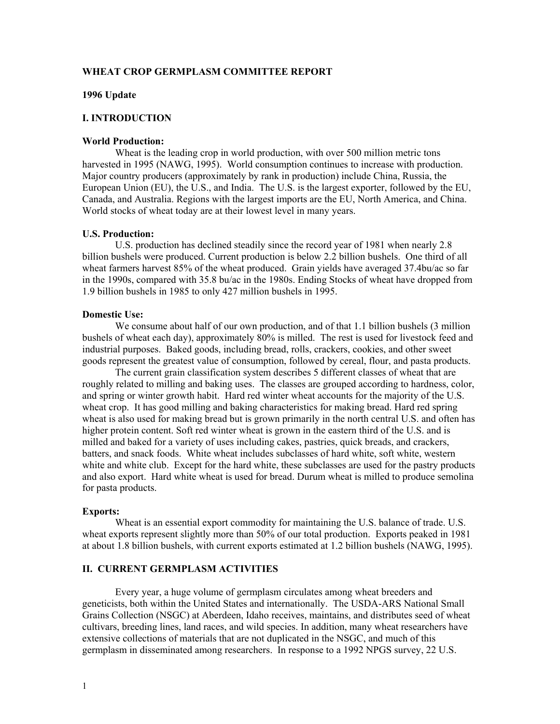## **WHEAT CROP GERMPLASM COMMITTEE REPORT**

#### **1996 Update**

#### **I. INTRODUCTION**

### **World Production:**

Wheat is the leading crop in world production, with over 500 million metric tons harvested in 1995 (NAWG, 1995). World consumption continues to increase with production. Major country producers (approximately by rank in production) include China, Russia, the European Union (EU), the U.S., and India. The U.S. is the largest exporter, followed by the EU, Canada, and Australia. Regions with the largest imports are the EU, North America, and China. World stocks of wheat today are at their lowest level in many years.

#### **U.S. Production:**

U.S. production has declined steadily since the record year of 1981 when nearly 2.8 billion bushels were produced. Current production is below 2.2 billion bushels. One third of all wheat farmers harvest 85% of the wheat produced. Grain yields have averaged 37.4bu/ac so far in the 1990s, compared with 35.8 bu/ac in the 1980s. Ending Stocks of wheat have dropped from 1.9 billion bushels in 1985 to only 427 million bushels in 1995.

#### **Domestic Use:**

We consume about half of our own production, and of that 1.1 billion bushels (3 million bushels of wheat each day), approximately  $\frac{80}{%}$  is milled. The rest is used for livestock feed and industrial purposes. Baked goods, including bread, rolls, crackers, cookies, and other sweet goods represent the greatest value of consumption, followed by cereal, flour, and pasta products.

The current grain classification system describes 5 different classes of wheat that are roughly related to milling and baking uses. The classes are grouped according to hardness, color, and spring or winter growth habit. Hard red winter wheat accounts for the majority of the U.S. wheat crop. It has good milling and baking characteristics for making bread. Hard red spring wheat is also used for making bread but is grown primarily in the north central U.S. and often has higher protein content. Soft red winter wheat is grown in the eastern third of the U.S. and is milled and baked for a variety of uses including cakes, pastries, quick breads, and crackers, batters, and snack foods. White wheat includes subclasses of hard white, soft white, western white and white club. Except for the hard white, these subclasses are used for the pastry products and also export. Hard white wheat is used for bread. Durum wheat is milled to produce semolina for pasta products.

#### **Exports:**

Wheat is an essential export commodity for maintaining the U.S. balance of trade. U.S. wheat exports represent slightly more than 50% of our total production. Exports peaked in 1981 at about 1.8 billion bushels, with current exports estimated at 1.2 billion bushels (NAWG, 1995).

## **II. CURRENT GERMPLASM ACTIVITIES**

Every year, a huge volume of germplasm circulates among wheat breeders and geneticists, both within the United States and internationally. The USDA-ARS National Small Grains Collection (NSGC) at Aberdeen, Idaho receives, maintains, and distributes seed of wheat cultivars, breeding lines, land races, and wild species. In addition, many wheat researchers have extensive collections of materials that are not duplicated in the NSGC, and much of this germplasm in disseminated among researchers. In response to a 1992 NPGS survey, 22 U.S.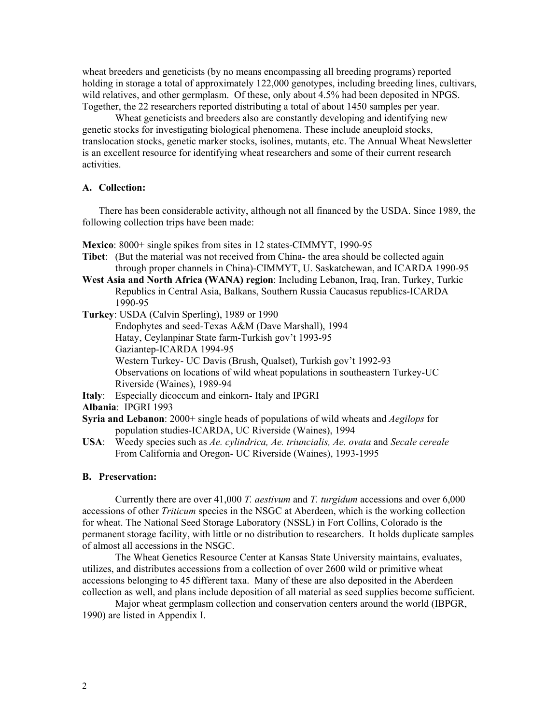wheat breeders and geneticists (by no means encompassing all breeding programs) reported holding in storage a total of approximately 122,000 genotypes, including breeding lines, cultivars, wild relatives, and other germplasm. Of these, only about 4.5% had been deposited in NPGS. Together, the 22 researchers reported distributing a total of about 1450 samples per year.

Wheat geneticists and breeders also are constantly developing and identifying new genetic stocks for investigating biological phenomena. These include aneuploid stocks, translocation stocks, genetic marker stocks, isolines, mutants, etc. The Annual Wheat Newsletter is an excellent resource for identifying wheat researchers and some of their current research activities.

## **A. Collection:**

There has been considerable activity, although not all financed by the USDA. Since 1989, the following collection trips have been made:

**Mexico**: 8000+ single spikes from sites in 12 states-CIMMYT, 1990-95

**Tibet**: (But the material was not received from China- the area should be collected again through proper channels in China)-CIMMYT, U. Saskatchewan, and ICARDA 1990-95

**West Asia and North Africa (WANA) region**: Including Lebanon, Iraq, Iran, Turkey, Turkic Republics in Central Asia, Balkans, Southern Russia Caucasus republics-ICARDA 1990-95

**Turkey**: USDA (Calvin Sperling), 1989 or 1990

Endophytes and seed-Texas A&M (Dave Marshall), 1994 Hatay, Ceylanpinar State farm-Turkish gov't 1993-95 Gaziantep-ICARDA 1994-95 Western Turkey- UC Davis (Brush, Qualset), Turkish gov't 1992-93 Observations on locations of wild wheat populations in southeastern Turkey-UC Riverside (Waines), 1989-94

**Italy**: Especially dicoccum and einkorn- Italy and IPGRI

**Albania**: IPGRI 1993

**Syria and Lebanon**: 2000+ single heads of populations of wild wheats and *Aegilops* for population studies-ICARDA, UC Riverside (Waines), 1994

**USA**: Weedy species such as *Ae. cylindrica, Ae. triuncialis, Ae. ovata* and *Secale cereale*  From California and Oregon- UC Riverside (Waines), 1993-1995

#### **B. Preservation:**

Currently there are over 41,000 *T. aestivum* and *T. turgidum* accessions and over 6,000 accessions of other *Triticum* species in the NSGC at Aberdeen, which is the working collection for wheat. The National Seed Storage Laboratory (NSSL) in Fort Collins, Colorado is the permanent storage facility, with little or no distribution to researchers. It holds duplicate samples of almost all accessions in the NSGC.

The Wheat Genetics Resource Center at Kansas State University maintains, evaluates, utilizes, and distributes accessions from a collection of over 2600 wild or primitive wheat accessions belonging to 45 different taxa. Many of these are also deposited in the Aberdeen collection as well, and plans include deposition of all material as seed supplies become sufficient.

Major wheat germplasm collection and conservation centers around the world (IBPGR, 1990) are listed in Appendix I.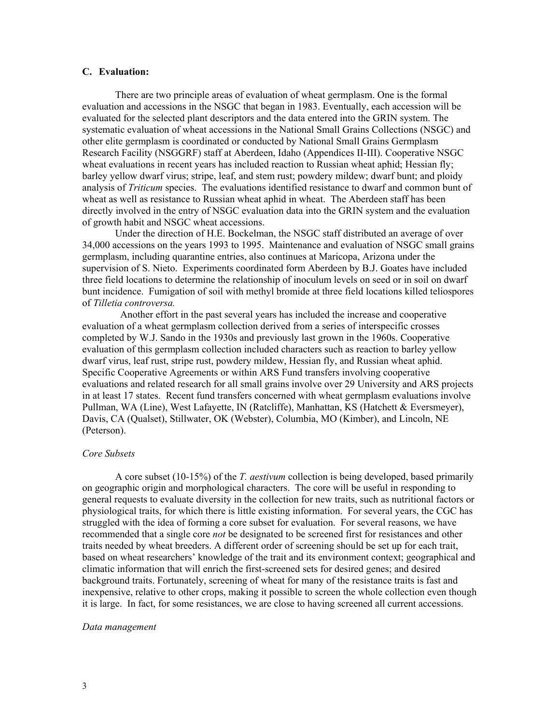## **C. Evaluation:**

There are two principle areas of evaluation of wheat germplasm. One is the formal evaluation and accessions in the NSGC that began in 1983. Eventually, each accession will be evaluated for the selected plant descriptors and the data entered into the GRIN system. The systematic evaluation of wheat accessions in the National Small Grains Collections (NSGC) and other elite germplasm is coordinated or conducted by National Small Grains Germplasm Research Facility (NSGGRF) staff at Aberdeen, Idaho (Appendices II-III). Cooperative NSGC wheat evaluations in recent years has included reaction to Russian wheat aphid; Hessian fly; barley yellow dwarf virus; stripe, leaf, and stem rust; powdery mildew; dwarf bunt; and ploidy analysis of *Triticum* species. The evaluations identified resistance to dwarf and common bunt of wheat as well as resistance to Russian wheat aphid in wheat. The Aberdeen staff has been directly involved in the entry of NSGC evaluation data into the GRIN system and the evaluation of growth habit and NSGC wheat accessions.

Under the direction of H.E. Bockelman, the NSGC staff distributed an average of over 34,000 accessions on the years 1993 to 1995. Maintenance and evaluation of NSGC small grains germplasm, including quarantine entries, also continues at Maricopa, Arizona under the supervision of S. Nieto. Experiments coordinated form Aberdeen by B.J. Goates have included three field locations to determine the relationship of inoculum levels on seed or in soil on dwarf bunt incidence. Fumigation of soil with methyl bromide at three field locations killed teliospores of *Tilletia controversa.* 

 Another effort in the past several years has included the increase and cooperative evaluation of a wheat germplasm collection derived from a series of interspecific crosses completed by W.J. Sando in the 1930s and previously last grown in the 1960s. Cooperative evaluation of this germplasm collection included characters such as reaction to barley yellow dwarf virus, leaf rust, stripe rust, powdery mildew, Hessian fly, and Russian wheat aphid. Specific Cooperative Agreements or within ARS Fund transfers involving cooperative evaluations and related research for all small grains involve over 29 University and ARS projects in at least 17 states. Recent fund transfers concerned with wheat germplasm evaluations involve Pullman, WA (Line), West Lafayette, IN (Ratcliffe), Manhattan, KS (Hatchett & Eversmeyer), Davis, CA (Qualset), Stillwater, OK (Webster), Columbia, MO (Kimber), and Lincoln, NE (Peterson).

#### *Core Subsets*

A core subset (10-15%) of the *T. aestivum* collection is being developed, based primarily on geographic origin and morphological characters. The core will be useful in responding to general requests to evaluate diversity in the collection for new traits, such as nutritional factors or physiological traits, for which there is little existing information. For several years, the CGC has struggled with the idea of forming a core subset for evaluation. For several reasons, we have recommended that a single core *not* be designated to be screened first for resistances and other traits needed by wheat breeders. A different order of screening should be set up for each trait, based on wheat researchers' knowledge of the trait and its environment context; geographical and climatic information that will enrich the first-screened sets for desired genes; and desired background traits. Fortunately, screening of wheat for many of the resistance traits is fast and inexpensive, relative to other crops, making it possible to screen the whole collection even though it is large. In fact, for some resistances, we are close to having screened all current accessions.

#### *Data management*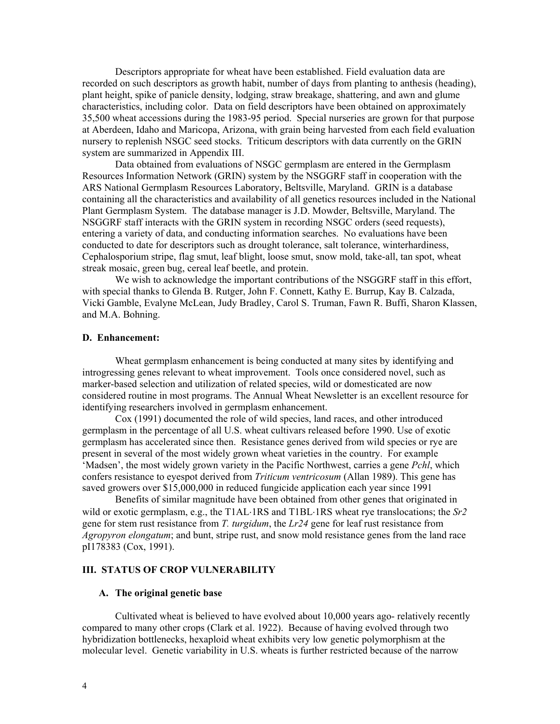Descriptors appropriate for wheat have been established. Field evaluation data are recorded on such descriptors as growth habit, number of days from planting to anthesis (heading), plant height, spike of panicle density, lodging, straw breakage, shattering, and awn and glume characteristics, including color. Data on field descriptors have been obtained on approximately 35,500 wheat accessions during the 1983-95 period. Special nurseries are grown for that purpose at Aberdeen, Idaho and Maricopa, Arizona, with grain being harvested from each field evaluation nursery to replenish NSGC seed stocks. Triticum descriptors with data currently on the GRIN system are summarized in Appendix III.

Data obtained from evaluations of NSGC germplasm are entered in the Germplasm Resources Information Network (GRIN) system by the NSGGRF staff in cooperation with the ARS National Germplasm Resources Laboratory, Beltsville, Maryland. GRIN is a database containing all the characteristics and availability of all genetics resources included in the National Plant Germplasm System. The database manager is J.D. Mowder, Beltsville, Maryland. The NSGGRF staff interacts with the GRIN system in recording NSGC orders (seed requests), entering a variety of data, and conducting information searches. No evaluations have been conducted to date for descriptors such as drought tolerance, salt tolerance, winterhardiness, Cephalosporium stripe, flag smut, leaf blight, loose smut, snow mold, take-all, tan spot, wheat streak mosaic, green bug, cereal leaf beetle, and protein.

We wish to acknowledge the important contributions of the NSGGRF staff in this effort, with special thanks to Glenda B. Rutger, John F. Connett, Kathy E. Burrup, Kay B. Calzada, Vicki Gamble, Evalyne McLean, Judy Bradley, Carol S. Truman, Fawn R. Buffi, Sharon Klassen, and M.A. Bohning.

### **D. Enhancement:**

Wheat germplasm enhancement is being conducted at many sites by identifying and introgressing genes relevant to wheat improvement. Tools once considered novel, such as marker-based selection and utilization of related species, wild or domesticated are now considered routine in most programs. The Annual Wheat Newsletter is an excellent resource for identifying researchers involved in germplasm enhancement.

Cox (1991) documented the role of wild species, land races, and other introduced germplasm in the percentage of all U.S. wheat cultivars released before 1990. Use of exotic germplasm has accelerated since then. Resistance genes derived from wild species or rye are present in several of the most widely grown wheat varieties in the country. For example 'Madsen', the most widely grown variety in the Pacific Northwest, carries a gene *Pchl*, which confers resistance to eyespot derived from *Triticum ventricosum* (Allan 1989). This gene has saved growers over \$15,000,000 in reduced fungicide application each year since 1991

Benefits of similar magnitude have been obtained from other genes that originated in wild or exotic germplasm, e.g., the T1AL⋅1RS and T1BL⋅1RS wheat rye translocations; the *Sr2* gene for stem rust resistance from *T. turgidum*, the *Lr24* gene for leaf rust resistance from *Agropyron elongatum*; and bunt, stripe rust, and snow mold resistance genes from the land race pI178383 (Cox, 1991).

#### **III. STATUS OF CROP VULNERABILITY**

#### **A. The original genetic base**

Cultivated wheat is believed to have evolved about 10,000 years ago- relatively recently compared to many other crops (Clark et al. 1922). Because of having evolved through two hybridization bottlenecks, hexaploid wheat exhibits very low genetic polymorphism at the molecular level. Genetic variability in U.S. wheats is further restricted because of the narrow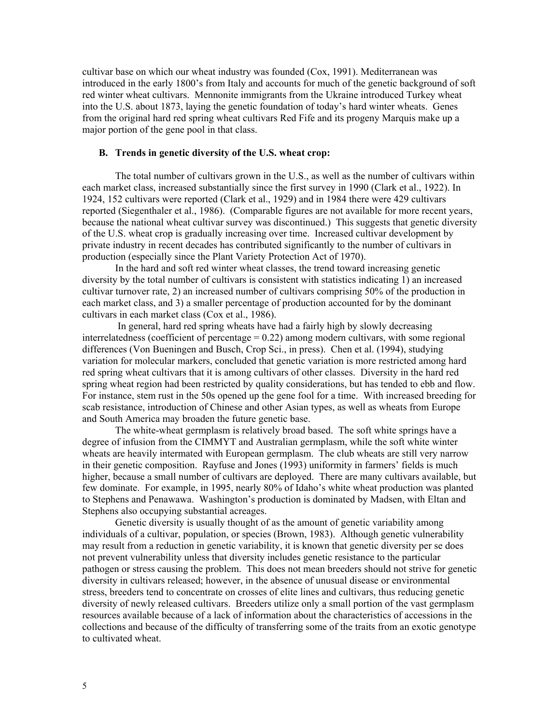cultivar base on which our wheat industry was founded (Cox, 1991). Mediterranean was introduced in the early 1800's from Italy and accounts for much of the genetic background of soft red winter wheat cultivars. Mennonite immigrants from the Ukraine introduced Turkey wheat into the U.S. about 1873, laying the genetic foundation of today's hard winter wheats. Genes from the original hard red spring wheat cultivars Red Fife and its progeny Marquis make up a major portion of the gene pool in that class.

### **B. Trends in genetic diversity of the U.S. wheat crop:**

The total number of cultivars grown in the U.S., as well as the number of cultivars within each market class, increased substantially since the first survey in 1990 (Clark et al., 1922). In 1924, 152 cultivars were reported (Clark et al., 1929) and in 1984 there were 429 cultivars reported (Siegenthaler et al., 1986). (Comparable figures are not available for more recent years, because the national wheat cultivar survey was discontinued.) This suggests that genetic diversity of the U.S. wheat crop is gradually increasing over time. Increased cultivar development by private industry in recent decades has contributed significantly to the number of cultivars in production (especially since the Plant Variety Protection Act of 1970).

In the hard and soft red winter wheat classes, the trend toward increasing genetic diversity by the total number of cultivars is consistent with statistics indicating 1) an increased cultivar turnover rate, 2) an increased number of cultivars comprising 50% of the production in each market class, and 3) a smaller percentage of production accounted for by the dominant cultivars in each market class (Cox et al., 1986).

 In general, hard red spring wheats have had a fairly high by slowly decreasing interrelatedness (coefficient of percentage  $= 0.22$ ) among modern cultivars, with some regional differences (Von Bueningen and Busch, Crop Sci., in press). Chen et al. (1994), studying variation for molecular markers, concluded that genetic variation is more restricted among hard red spring wheat cultivars that it is among cultivars of other classes. Diversity in the hard red spring wheat region had been restricted by quality considerations, but has tended to ebb and flow. For instance, stem rust in the 50s opened up the gene fool for a time. With increased breeding for scab resistance, introduction of Chinese and other Asian types, as well as wheats from Europe and South America may broaden the future genetic base.

The white-wheat germplasm is relatively broad based. The soft white springs have a degree of infusion from the CIMMYT and Australian germplasm, while the soft white winter wheats are heavily intermated with European germplasm. The club wheats are still very narrow in their genetic composition. Rayfuse and Jones (1993) uniformity in farmers' fields is much higher, because a small number of cultivars are deployed. There are many cultivars available, but few dominate. For example, in 1995, nearly 80% of Idaho's white wheat production was planted to Stephens and Penawawa. Washington's production is dominated by Madsen, with Eltan and Stephens also occupying substantial acreages.

Genetic diversity is usually thought of as the amount of genetic variability among individuals of a cultivar, population, or species (Brown, 1983). Although genetic vulnerability may result from a reduction in genetic variability, it is known that genetic diversity per se does not prevent vulnerability unless that diversity includes genetic resistance to the particular pathogen or stress causing the problem. This does not mean breeders should not strive for genetic diversity in cultivars released; however, in the absence of unusual disease or environmental stress, breeders tend to concentrate on crosses of elite lines and cultivars, thus reducing genetic diversity of newly released cultivars. Breeders utilize only a small portion of the vast germplasm resources available because of a lack of information about the characteristics of accessions in the collections and because of the difficulty of transferring some of the traits from an exotic genotype to cultivated wheat.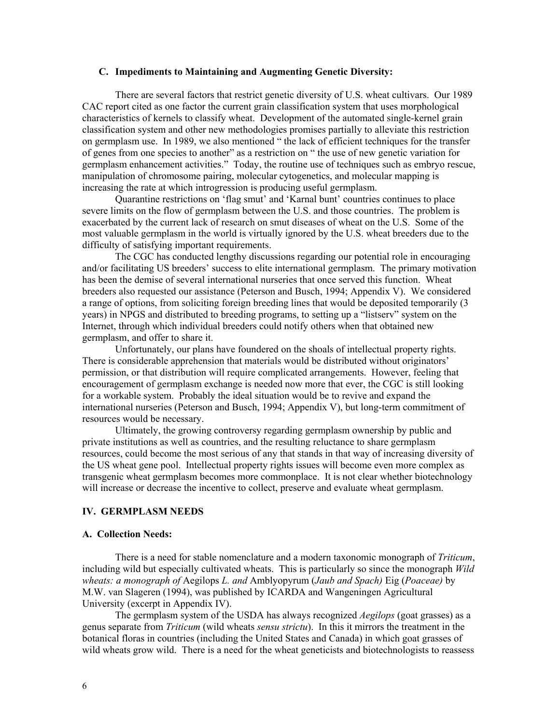### **C. Impediments to Maintaining and Augmenting Genetic Diversity:**

There are several factors that restrict genetic diversity of U.S. wheat cultivars. Our 1989 CAC report cited as one factor the current grain classification system that uses morphological characteristics of kernels to classify wheat. Development of the automated single-kernel grain classification system and other new methodologies promises partially to alleviate this restriction on germplasm use. In 1989, we also mentioned " the lack of efficient techniques for the transfer of genes from one species to another" as a restriction on " the use of new genetic variation for germplasm enhancement activities." Today, the routine use of techniques such as embryo rescue, manipulation of chromosome pairing, molecular cytogenetics, and molecular mapping is increasing the rate at which introgression is producing useful germplasm.

Quarantine restrictions on 'flag smut' and 'Karnal bunt' countries continues to place severe limits on the flow of germplasm between the U.S. and those countries. The problem is exacerbated by the current lack of research on smut diseases of wheat on the U.S. Some of the most valuable germplasm in the world is virtually ignored by the U.S. wheat breeders due to the difficulty of satisfying important requirements.

The CGC has conducted lengthy discussions regarding our potential role in encouraging and/or facilitating US breeders' success to elite international germplasm. The primary motivation has been the demise of several international nurseries that once served this function. Wheat breeders also requested our assistance (Peterson and Busch, 1994; Appendix V). We considered a range of options, from soliciting foreign breeding lines that would be deposited temporarily (3 years) in NPGS and distributed to breeding programs, to setting up a "listserv" system on the Internet, through which individual breeders could notify others when that obtained new germplasm, and offer to share it.

Unfortunately, our plans have foundered on the shoals of intellectual property rights. There is considerable apprehension that materials would be distributed without originators' permission, or that distribution will require complicated arrangements. However, feeling that encouragement of germplasm exchange is needed now more that ever, the CGC is still looking for a workable system. Probably the ideal situation would be to revive and expand the international nurseries (Peterson and Busch, 1994; Appendix V), but long-term commitment of resources would be necessary.

Ultimately, the growing controversy regarding germplasm ownership by public and private institutions as well as countries, and the resulting reluctance to share germplasm resources, could become the most serious of any that stands in that way of increasing diversity of the US wheat gene pool. Intellectual property rights issues will become even more complex as transgenic wheat germplasm becomes more commonplace. It is not clear whether biotechnology will increase or decrease the incentive to collect, preserve and evaluate wheat germplasm.

### **IV. GERMPLASM NEEDS**

#### **A. Collection Needs:**

There is a need for stable nomenclature and a modern taxonomic monograph of *Triticum*, including wild but especially cultivated wheats. This is particularly so since the monograph *Wild wheats: a monograph of* Aegilops *L. and* Amblyopyrum (*Jaub and Spach)* Eig (*Poaceae)* by M.W. van Slageren (1994), was published by ICARDA and Wangeningen Agricultural University (excerpt in Appendix IV).

The germplasm system of the USDA has always recognized *Aegilops* (goat grasses) as a genus separate from *Triticum* (wild wheats *sensu strictu*). In this it mirrors the treatment in the botanical floras in countries (including the United States and Canada) in which goat grasses of wild wheats grow wild. There is a need for the wheat geneticists and biotechnologists to reassess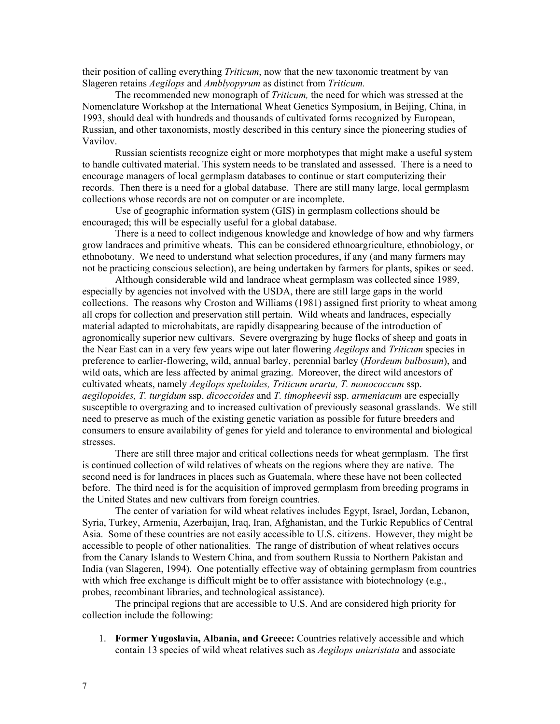their position of calling everything *Triticum*, now that the new taxonomic treatment by van Slageren retains *Aegilops* and *Amblyopyrum* as distinct from *Triticum.* 

The recommended new monograph of *Triticum,* the need for which was stressed at the Nomenclature Workshop at the International Wheat Genetics Symposium, in Beijing, China, in 1993, should deal with hundreds and thousands of cultivated forms recognized by European, Russian, and other taxonomists, mostly described in this century since the pioneering studies of Vavilov.

Russian scientists recognize eight or more morphotypes that might make a useful system to handle cultivated material. This system needs to be translated and assessed. There is a need to encourage managers of local germplasm databases to continue or start computerizing their records. Then there is a need for a global database. There are still many large, local germplasm collections whose records are not on computer or are incomplete.

Use of geographic information system (GIS) in germplasm collections should be encouraged; this will be especially useful for a global database.

There is a need to collect indigenous knowledge and knowledge of how and why farmers grow landraces and primitive wheats. This can be considered ethnoargriculture, ethnobiology, or ethnobotany. We need to understand what selection procedures, if any (and many farmers may not be practicing conscious selection), are being undertaken by farmers for plants, spikes or seed.

Although considerable wild and landrace wheat germplasm was collected since 1989, especially by agencies not involved with the USDA, there are still large gaps in the world collections. The reasons why Croston and Williams (1981) assigned first priority to wheat among all crops for collection and preservation still pertain. Wild wheats and landraces, especially material adapted to microhabitats, are rapidly disappearing because of the introduction of agronomically superior new cultivars. Severe overgrazing by huge flocks of sheep and goats in the Near East can in a very few years wipe out later flowering *Aegilops* and *Triticum* species in preference to earlier-flowering, wild, annual barley, perennial barley (*Hordeum bulbosum*), and wild oats, which are less affected by animal grazing. Moreover, the direct wild ancestors of cultivated wheats, namely *Aegilops speltoides, Triticum urartu, T. monococcum* ssp. *aegilopoides, T. turgidum* ssp. *dicoccoides* and *T. timopheevii* ssp. *armeniacum* are especially susceptible to overgrazing and to increased cultivation of previously seasonal grasslands. We still need to preserve as much of the existing genetic variation as possible for future breeders and consumers to ensure availability of genes for yield and tolerance to environmental and biological stresses.

There are still three major and critical collections needs for wheat germplasm. The first is continued collection of wild relatives of wheats on the regions where they are native. The second need is for landraces in places such as Guatemala, where these have not been collected before. The third need is for the acquisition of improved germplasm from breeding programs in the United States and new cultivars from foreign countries.

The center of variation for wild wheat relatives includes Egypt, Israel, Jordan, Lebanon, Syria, Turkey, Armenia, Azerbaijan, Iraq, Iran, Afghanistan, and the Turkic Republics of Central Asia. Some of these countries are not easily accessible to U.S. citizens. However, they might be accessible to people of other nationalities. The range of distribution of wheat relatives occurs from the Canary Islands to Western China, and from southern Russia to Northern Pakistan and India (van Slageren, 1994). One potentially effective way of obtaining germplasm from countries with which free exchange is difficult might be to offer assistance with biotechnology (e.g., probes, recombinant libraries, and technological assistance).

The principal regions that are accessible to U.S. And are considered high priority for collection include the following:

1. **Former Yugoslavia, Albania, and Greece:** Countries relatively accessible and which contain 13 species of wild wheat relatives such as *Aegilops uniaristata* and associate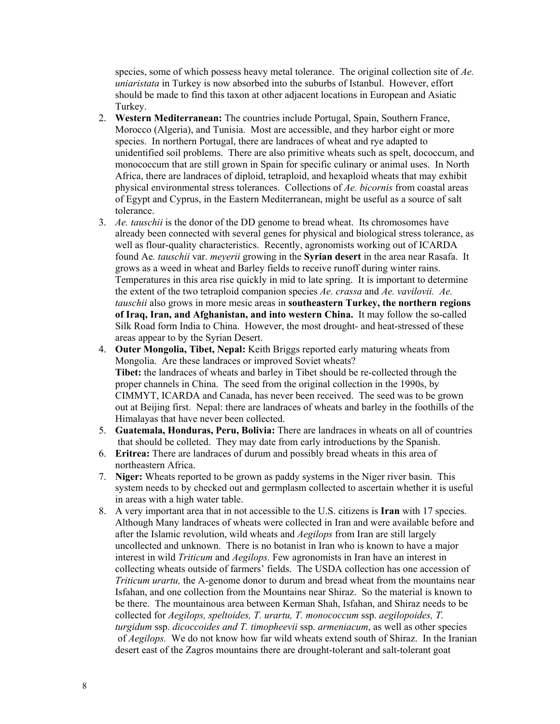species, some of which possess heavy metal tolerance. The original collection site of *Ae. uniaristata* in Turkey is now absorbed into the suburbs of Istanbul. However, effort should be made to find this taxon at other adjacent locations in European and Asiatic Turkey.

- 2. **Western Mediterranean:** The countries include Portugal, Spain, Southern France, Morocco (Algeria), and Tunisia. Most are accessible, and they harbor eight or more species. In northern Portugal, there are landraces of wheat and rye adapted to unidentified soil problems. There are also primitive wheats such as spelt, dococcum, and monococcum that are still grown in Spain for specific culinary or animal uses. In North Africa, there are landraces of diploid, tetraploid, and hexaploid wheats that may exhibit physical environmental stress tolerances. Collections of *Ae. bicornis* from coastal areas of Egypt and Cyprus, in the Eastern Mediterranean, might be useful as a source of salt tolerance.
- 3. *Ae. tauschii* is the donor of the DD genome to bread wheat. Its chromosomes have already been connected with several genes for physical and biological stress tolerance, as well as flour-quality characteristics. Recently, agronomists working out of ICARDA found Ae*. tauschii* var. *meyerii* growing in the **Syrian desert** in the area near Rasafa. It grows as a weed in wheat and Barley fields to receive runoff during winter rains. Temperatures in this area rise quickly in mid to late spring. It is important to determine the extent of the two tetraploid companion species *Ae. crassa* and *Ae. vavilovii. Ae. tauschii* also grows in more mesic areas in **southeastern Turkey, the northern regions of Iraq, Iran, and Afghanistan, and into western China.** It may follow the so-called Silk Road form India to China. However, the most drought- and heat-stressed of these areas appear to by the Syrian Desert.
- 4. **Outer Mongolia, Tibet, Nepal:** Keith Briggs reported early maturing wheats from Mongolia. Are these landraces or improved Soviet wheats? **Tibet:** the landraces of wheats and barley in Tibet should be re-collected through the proper channels in China. The seed from the original collection in the 1990s, by CIMMYT, ICARDA and Canada, has never been received. The seed was to be grown out at Beijing first. Nepal: there are landraces of wheats and barley in the foothills of the Himalayas that have never been collected.
- 5. **Guatemala, Honduras, Peru, Bolivia:** There are landraces in wheats on all of countries that should be colleted. They may date from early introductions by the Spanish.
- 6. **Eritrea:** There are landraces of durum and possibly bread wheats in this area of northeastern Africa.
- 7. **Niger:** Wheats reported to be grown as paddy systems in the Niger river basin. This system needs to by checked out and germplasm collected to ascertain whether it is useful in areas with a high water table.
- 8. A very important area that in not accessible to the U.S. citizens is **Iran** with 17 species. Although Many landraces of wheats were collected in Iran and were available before and after the Islamic revolution, wild wheats and *Aegilops* from Iran are still largely uncollected and unknown. There is no botanist in Iran who is known to have a major interest in wild *Triticum* and *Aegilops.* Few agronomists in Iran have an interest in collecting wheats outside of farmers' fields. The USDA collection has one accession of *Triticum <i>urartu*, the A-genome donor to durum and bread wheat from the mountains near Isfahan, and one collection from the Mountains near Shiraz. So the material is known to be there. The mountainous area between Kerman Shah, Isfahan, and Shiraz needs to be collected for *Aegilops, speltoides, T. urartu, T. monococcum* ssp. *aegilopoides, T. turgidum* ssp. *dicoccoides and T. timopheevii* ssp. *armeniacum*, as well as other species of *Aegilops.* We do not know how far wild wheats extend south of Shiraz. In the Iranian desert east of the Zagros mountains there are drought-tolerant and salt-tolerant goat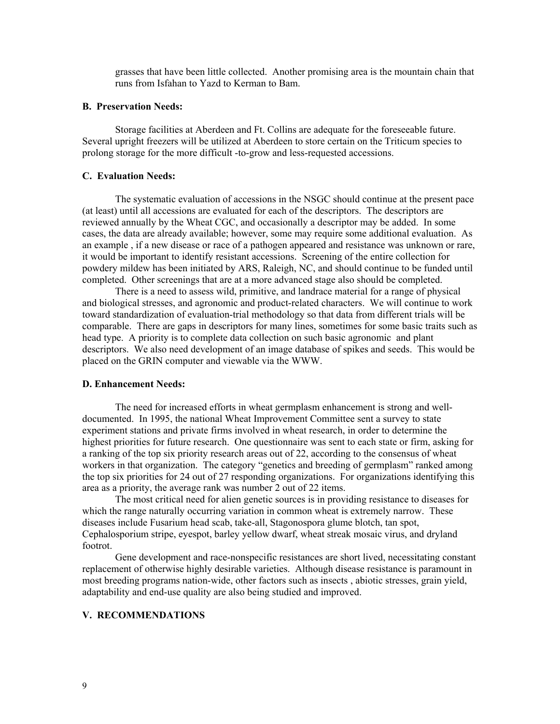grasses that have been little collected. Another promising area is the mountain chain that runs from Isfahan to Yazd to Kerman to Bam.

### **B. Preservation Needs:**

Storage facilities at Aberdeen and Ft. Collins are adequate for the foreseeable future. Several upright freezers will be utilized at Aberdeen to store certain on the Triticum species to prolong storage for the more difficult -to-grow and less-requested accessions.

## **C. Evaluation Needs:**

The systematic evaluation of accessions in the NSGC should continue at the present pace (at least) until all accessions are evaluated for each of the descriptors. The descriptors are reviewed annually by the Wheat CGC, and occasionally a descriptor may be added. In some cases, the data are already available; however, some may require some additional evaluation. As an example , if a new disease or race of a pathogen appeared and resistance was unknown or rare, it would be important to identify resistant accessions. Screening of the entire collection for powdery mildew has been initiated by ARS, Raleigh, NC, and should continue to be funded until completed. Other screenings that are at a more advanced stage also should be completed.

There is a need to assess wild, primitive, and landrace material for a range of physical and biological stresses, and agronomic and product-related characters. We will continue to work toward standardization of evaluation-trial methodology so that data from different trials will be comparable. There are gaps in descriptors for many lines, sometimes for some basic traits such as head type. A priority is to complete data collection on such basic agronomic and plant descriptors. We also need development of an image database of spikes and seeds. This would be placed on the GRIN computer and viewable via the WWW.

#### **D. Enhancement Needs:**

The need for increased efforts in wheat germplasm enhancement is strong and welldocumented. In 1995, the national Wheat Improvement Committee sent a survey to state experiment stations and private firms involved in wheat research, in order to determine the highest priorities for future research. One questionnaire was sent to each state or firm, asking for a ranking of the top six priority research areas out of 22, according to the consensus of wheat workers in that organization. The category "genetics and breeding of germplasm" ranked among the top six priorities for 24 out of 27 responding organizations. For organizations identifying this area as a priority, the average rank was number 2 out of 22 items.

The most critical need for alien genetic sources is in providing resistance to diseases for which the range naturally occurring variation in common wheat is extremely narrow. These diseases include Fusarium head scab, take-all, Stagonospora glume blotch, tan spot, Cephalosporium stripe, eyespot, barley yellow dwarf, wheat streak mosaic virus, and dryland footrot.

Gene development and race-nonspecific resistances are short lived, necessitating constant replacement of otherwise highly desirable varieties. Although disease resistance is paramount in most breeding programs nation-wide, other factors such as insects , abiotic stresses, grain yield, adaptability and end-use quality are also being studied and improved.

## **V. RECOMMENDATIONS**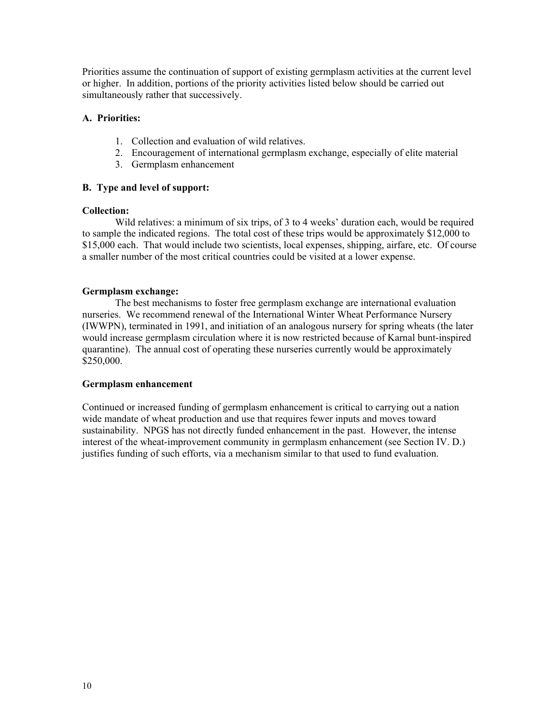Priorities assume the continuation of support of existing germplasm activities at the current level or higher. In addition, portions of the priority activities listed below should be carried out simultaneously rather that successively.

## **A. Priorities:**

- 1. Collection and evaluation of wild relatives.
- 2. Encouragement of international germplasm exchange, especially of elite material
- 3. Germplasm enhancement

# **B. Type and level of support:**

## **Collection:**

Wild relatives: a minimum of six trips, of 3 to 4 weeks' duration each, would be required to sample the indicated regions. The total cost of these trips would be approximately \$12,000 to \$15,000 each. That would include two scientists, local expenses, shipping, airfare, etc. Of course a smaller number of the most critical countries could be visited at a lower expense.

## **Germplasm exchange:**

The best mechanisms to foster free germplasm exchange are international evaluation nurseries. We recommend renewal of the International Winter Wheat Performance Nursery (IWWPN), terminated in 1991, and initiation of an analogous nursery for spring wheats (the later would increase germplasm circulation where it is now restricted because of Karnal bunt-inspired quarantine). The annual cost of operating these nurseries currently would be approximately \$250,000.

## **Germplasm enhancement**

Continued or increased funding of germplasm enhancement is critical to carrying out a nation wide mandate of wheat production and use that requires fewer inputs and moves toward sustainability. NPGS has not directly funded enhancement in the past. However, the intense interest of the wheat-improvement community in germplasm enhancement (see Section IV. D.) justifies funding of such efforts, via a mechanism similar to that used to fund evaluation.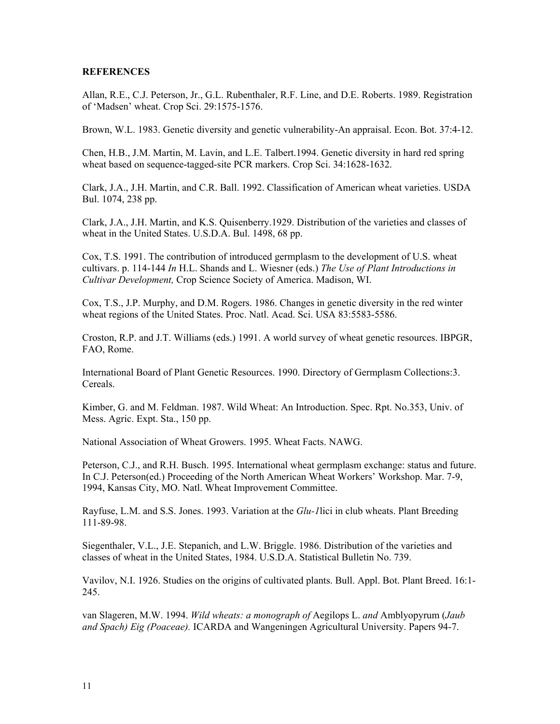### **REFERENCES**

Allan, R.E., C.J. Peterson, Jr., G.L. Rubenthaler, R.F. Line, and D.E. Roberts. 1989. Registration of 'Madsen' wheat. Crop Sci. 29:1575-1576.

Brown, W.L. 1983. Genetic diversity and genetic vulnerability-An appraisal. Econ. Bot. 37:4-12.

Chen, H.B., J.M. Martin, M. Lavin, and L.E. Talbert.1994. Genetic diversity in hard red spring wheat based on sequence-tagged-site PCR markers. Crop Sci. 34:1628-1632.

Clark, J.A., J.H. Martin, and C.R. Ball. 1992. Classification of American wheat varieties. USDA Bul. 1074, 238 pp.

Clark, J.A., J.H. Martin, and K.S. Quisenberry.1929. Distribution of the varieties and classes of wheat in the United States. U.S.D.A. Bul. 1498, 68 pp.

Cox, T.S. 1991. The contribution of introduced germplasm to the development of U.S. wheat cultivars. p. 114-144 *In* H.L. Shands and L. Wiesner (eds.) *The Use of Plant Introductions in Cultivar Development,* Crop Science Society of America. Madison, WI.

Cox, T.S., J.P. Murphy, and D.M. Rogers. 1986. Changes in genetic diversity in the red winter wheat regions of the United States. Proc. Natl. Acad. Sci. USA 83:5583-5586.

Croston, R.P. and J.T. Williams (eds.) 1991. A world survey of wheat genetic resources. IBPGR, FAO, Rome.

International Board of Plant Genetic Resources. 1990. Directory of Germplasm Collections:3. **Cereals** 

Kimber, G. and M. Feldman. 1987. Wild Wheat: An Introduction. Spec. Rpt. No.353, Univ. of Mess. Agric. Expt. Sta., 150 pp.

National Association of Wheat Growers. 1995. Wheat Facts. NAWG.

Peterson, C.J., and R.H. Busch. 1995. International wheat germplasm exchange: status and future. In C.J. Peterson(ed.) Proceeding of the North American Wheat Workers' Workshop. Mar. 7-9, 1994, Kansas City, MO. Natl. Wheat Improvement Committee.

Rayfuse, L.M. and S.S. Jones. 1993. Variation at the *Glu-1*lici in club wheats. Plant Breeding 111-89-98.

Siegenthaler, V.L., J.E. Stepanich, and L.W. Briggle. 1986. Distribution of the varieties and classes of wheat in the United States, 1984. U.S.D.A. Statistical Bulletin No. 739.

Vavilov, N.I. 1926. Studies on the origins of cultivated plants. Bull. Appl. Bot. Plant Breed. 16:1- 245.

van Slageren, M.W. 1994. *Wild wheats: a monograph of* Aegilops L. *and* Amblyopyrum (*Jaub and Spach) Eig (Poaceae).* ICARDA and Wangeningen Agricultural University. Papers 94-7.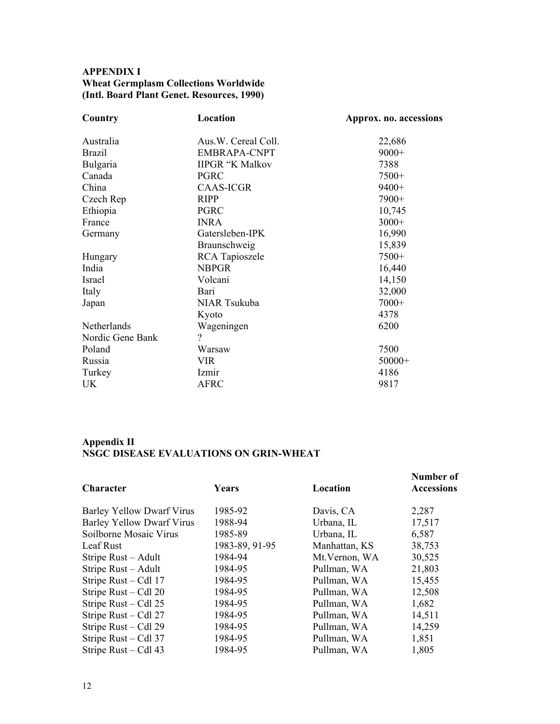# **APPENDIX I Wheat Germplasm Collections Worldwide (Intl. Board Plant Genet. Resources, 1990)**

| Location               | Approx. no. accessions |
|------------------------|------------------------|
|                        | 22,686                 |
| <b>EMBRAPA-CNPT</b>    | $9000+$                |
| <b>IIPGR "K Malkov</b> | 7388                   |
| <b>PGRC</b>            | 7500+                  |
| <b>CAAS-ICGR</b>       | $9400+$                |
| <b>RIPP</b>            | 7900+                  |
| <b>PGRC</b>            | 10,745                 |
| <b>INRA</b>            | $3000+$                |
| Gatersleben-IPK        | 16,990                 |
| Braunschweig           | 15,839                 |
| <b>RCA</b> Tapioszele  | 7500+                  |
| <b>NBPGR</b>           | 16,440                 |
| Volcani                | 14,150                 |
| Bari                   | 32,000                 |
| NIAR Tsukuba           | $7000+$                |
| Kyoto                  | 4378                   |
| Wageningen             | 6200                   |
| $\overline{?}$         |                        |
| Warsaw                 | 7500                   |
| VIR                    | $50000+$               |
| Izmir                  | 4186                   |
| <b>AFRC</b>            | 9817                   |
|                        | Aus.W. Cereal Coll.    |

## **Appendix II NSGC DISEASE EVALUATIONS ON GRIN-WHEAT**

| Character                        | <b>Years</b>   | Location       | Number of<br><b>Accessions</b> |
|----------------------------------|----------------|----------------|--------------------------------|
| Barley Yellow Dwarf Virus        | 1985-92        | Davis, CA      | 2,287                          |
| <b>Barley Yellow Dwarf Virus</b> | 1988-94        | Urbana, IL     | 17,517                         |
| Soilborne Mosaic Virus           | 1985-89        | Urbana, IL     | 6,587                          |
| Leaf Rust                        | 1983-89, 91-95 | Manhattan, KS  | 38,753                         |
| Stripe Rust – Adult              | 1984-94        | Mt. Vernon, WA | 30,525                         |
| Stripe Rust – Adult              | 1984-95        | Pullman, WA    | 21,803                         |
| Stripe Rust – Cdl 17             | 1984-95        | Pullman, WA    | 15,455                         |
| Stripe Rust – Cdl 20             | 1984-95        | Pullman, WA    | 12,508                         |
| Stripe Rust – Cdl 25             | 1984-95        | Pullman, WA    | 1,682                          |
| Stripe Rust – Cdl 27             | 1984-95        | Pullman, WA    | 14,511                         |
| Stripe Rust – Cdl 29             | 1984-95        | Pullman, WA    | 14,259                         |
| Stripe Rust – Cdl 37             | 1984-95        | Pullman, WA    | 1,851                          |
| Stripe Rust $-$ Cdl 43           | 1984-95        | Pullman, WA    | 1,805                          |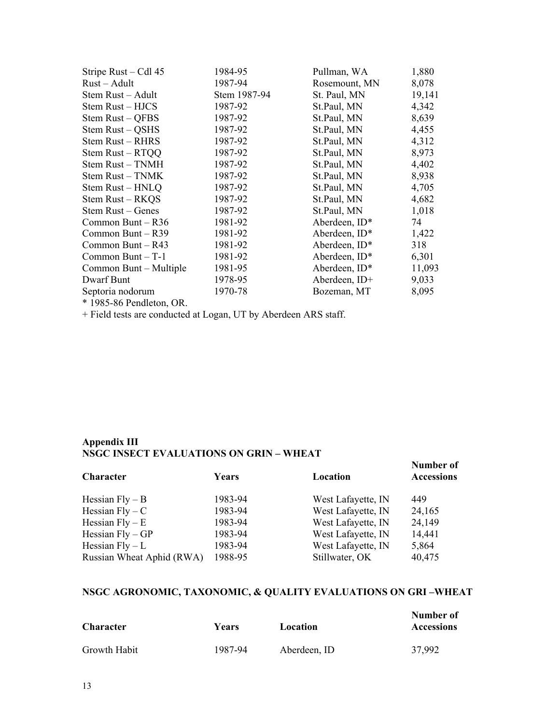| Stripe Rust – Cdl 45     | 1984-95      | Pullman, WA      | 1,880  |
|--------------------------|--------------|------------------|--------|
| Rust – Adult             | 1987-94      | Rosemount, MN    | 8,078  |
| Stem Rust – Adult        | Stem 1987-94 | St. Paul, MN     | 19,141 |
| Stem Rust - HJCS         | 1987-92      | St.Paul, MN      | 4,342  |
| Stem Rust - QFBS         | 1987-92      | St.Paul, MN      | 8,639  |
| Stem Rust - QSHS         | 1987-92      | St.Paul, MN      | 4,455  |
| Stem Rust – RHRS         | 1987-92      | St.Paul, MN      | 4,312  |
| Stem Rust – RTQQ         | 1987-92      | St.Paul, MN      | 8,973  |
| Stem Rust - TNMH         | 1987-92      | St.Paul, MN      | 4,402  |
| Stem Rust - TNMK         | 1987-92      | St.Paul, MN      | 8,938  |
| Stem Rust – HNLQ         | 1987-92      | St.Paul, MN      | 4,705  |
| Stem Rust – RKQS         | 1987-92      | St.Paul, MN      | 4,682  |
| Stem Rust – Genes        | 1987-92      | St.Paul, MN      | 1,018  |
| Common Bunt $-$ R36      | 1981-92      | Aberdeen, $ID^*$ | 74     |
| Common Bunt $-$ R39      | 1981-92      | Aberdeen, $ID*$  | 1,422  |
| Common Bunt $-$ R43      | 1981-92      | Aberdeen, $ID^*$ | 318    |
| Common Bunt $-$ T-1      | 1981-92      | Aberdeen, ID*    | 6,301  |
| Common Bunt – Multiple   | 1981-95      | Aberdeen, $ID^*$ | 11,093 |
| Dwarf Bunt               | 1978-95      | Aberdeen, ID+    | 9,033  |
| Septoria nodorum         | 1970-78      | Bozeman, MT      | 8,095  |
| * 1985-86 Pendleton, OR. |              |                  |        |

+ Field tests are conducted at Logan, UT by Aberdeen ARS staff.

# **Appendix III NSGC INSECT EVALUATIONS ON GRIN – WHEAT**

| Character                 | Years   | Location           | Number of<br><b>Accessions</b> |
|---------------------------|---------|--------------------|--------------------------------|
| Hessian $Fly - B$         | 1983-94 | West Lafayette, IN | 449                            |
| Hessian $Fly - C$         | 1983-94 | West Lafayette, IN | 24,165                         |
| Hessian $Fly - E$         | 1983-94 | West Lafayette, IN | 24,149                         |
| Hessian $Fly - GP$        | 1983-94 | West Lafayette, IN | 14,441                         |
| Hessian $Fly - L$         | 1983-94 | West Lafayette, IN | 5,864                          |
| Russian Wheat Aphid (RWA) | 1988-95 | Stillwater, OK     | 40,475                         |

# **NSGC AGRONOMIC, TAXONOMIC, & QUALITY EVALUATIONS ON GRI –WHEAT**

| <b>Character</b> | Years   | Location     | Number of<br><b>Accessions</b> |
|------------------|---------|--------------|--------------------------------|
| Growth Habit     | 1987-94 | Aberdeen, ID | 37,992                         |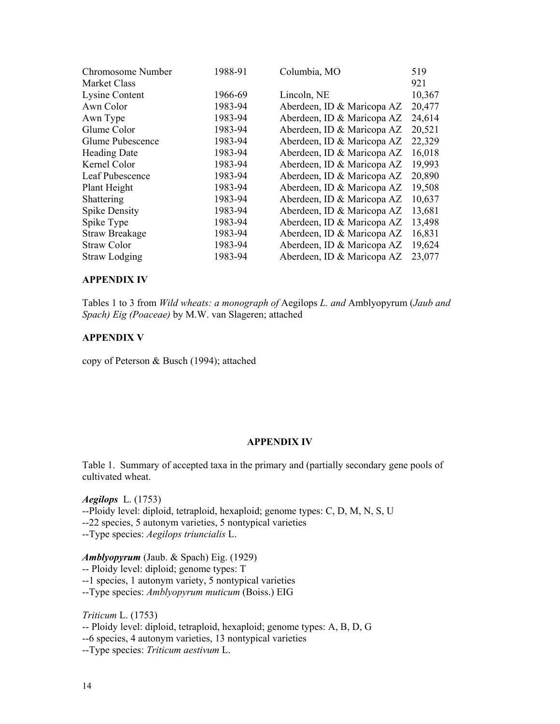| Chromosome Number     | 1988-91 | Columbia, MO               | 519    |
|-----------------------|---------|----------------------------|--------|
| <b>Market Class</b>   |         |                            | 921    |
| Lysine Content        | 1966-69 | Lincoln, NE                | 10,367 |
| Awn Color             | 1983-94 | Aberdeen, ID & Maricopa AZ | 20,477 |
| Awn Type              | 1983-94 | Aberdeen, ID & Maricopa AZ | 24,614 |
| Glume Color           | 1983-94 | Aberdeen, ID & Maricopa AZ | 20,521 |
| Glume Pubescence      | 1983-94 | Aberdeen, ID & Maricopa AZ | 22,329 |
| <b>Heading Date</b>   | 1983-94 | Aberdeen, ID & Maricopa AZ | 16,018 |
| Kernel Color          | 1983-94 | Aberdeen, ID & Maricopa AZ | 19,993 |
| Leaf Pubescence       | 1983-94 | Aberdeen, ID & Maricopa AZ | 20,890 |
| Plant Height          | 1983-94 | Aberdeen, ID & Maricopa AZ | 19,508 |
| Shattering            | 1983-94 | Aberdeen, ID & Maricopa AZ | 10,637 |
| <b>Spike Density</b>  | 1983-94 | Aberdeen, ID & Maricopa AZ | 13,681 |
| Spike Type            | 1983-94 | Aberdeen, ID & Maricopa AZ | 13,498 |
| <b>Straw Breakage</b> | 1983-94 | Aberdeen, ID & Maricopa AZ | 16,831 |
| <b>Straw Color</b>    | 1983-94 | Aberdeen, ID & Maricopa AZ | 19,624 |
| <b>Straw Lodging</b>  | 1983-94 | Aberdeen, ID & Maricopa AZ | 23,077 |

## **APPENDIX IV**

Tables 1 to 3 from *Wild wheats: a monograph of* Aegilops *L. and* Amblyopyrum (*Jaub and Spach) Eig (Poaceae)* by M.W. van Slageren; attached

## **APPENDIX V**

copy of Peterson & Busch (1994); attached

### **APPENDIX IV**

Table 1. Summary of accepted taxa in the primary and (partially secondary gene pools of cultivated wheat.

*Aegilops* L. (1753) --Ploidy level: diploid, tetraploid, hexaploid; genome types: C, D, M, N, S, U

--22 species, 5 autonym varieties, 5 nontypical varieties

--Type species: *Aegilops triuncialis* L.

## *Amblyopyrum* (Jaub. & Spach) Eig. (1929)

-- Ploidy level: diploid; genome types: T

--1 species, 1 autonym variety, 5 nontypical varieties

--Type species: *Amblyopyrum muticum* (Boiss.) EIG

*Triticum* L. (1753)

-- Ploidy level: diploid, tetraploid, hexaploid; genome types: A, B, D, G

--6 species, 4 autonym varieties, 13 nontypical varieties

--Type species: *Triticum aestivum* L.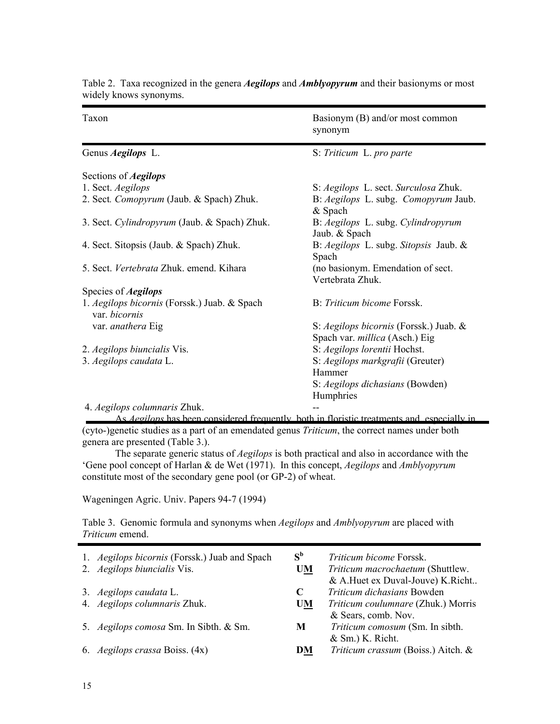| Taxon                                                         | Basionym (B) and/or most common<br>synonym                                      |
|---------------------------------------------------------------|---------------------------------------------------------------------------------|
| Genus <i>Aegilops</i> L.                                      | S: Triticum L. pro parte                                                        |
| Sections of <i>Aegilops</i>                                   |                                                                                 |
| 1. Sect. Aegilops                                             | S: Aegilops L. sect. Surculosa Zhuk.                                            |
| 2. Sect. Comopyrum (Jaub. & Spach) Zhuk.                      | B: Aegilops L. subg. Comopyrum Jaub.<br>& Spach                                 |
| 3. Sect. Cylindropyrum (Jaub. & Spach) Zhuk.                  | B: Aegilops L. subg. Cylindropyrum<br>Jaub. & Spach                             |
| 4. Sect. Sitopsis (Jaub. & Spach) Zhuk.                       | B: Aegilops L. subg. Sitopsis Jaub. &<br>Spach                                  |
| 5. Sect. Vertebrata Zhuk. emend. Kihara                       | (no basionym. Emendation of sect.<br>Vertebrata Zhuk.                           |
| Species of <i>Aegilops</i>                                    |                                                                                 |
| 1. Aegilops bicornis (Forssk.) Juab. & Spach<br>var. bicornis | B: Triticum bicome Forssk.                                                      |
| var. anathera Eig                                             | S: Aegilops bicornis (Forssk.) Juab. &<br>Spach var. <i>millica</i> (Asch.) Eig |
| 2. Aegilops biuncialis Vis.                                   | S: Aegilops lorentii Hochst.                                                    |
| 3. Aegilops caudata L.                                        | S: Aegilops markgrafii (Greuter)<br>Hammer<br>S: Aegilops dichasians (Bowden)   |
|                                                               | Humphries                                                                       |
| 4. Aegilops columnaris Zhuk.                                  |                                                                                 |

Table 2. Taxa recognized in the genera *Aegilops* and *Amblyopyrum* and their basionyms or most widely knows synonyms.

As *Aegilops* has been considered frequently, both in floristic treatments and, especially in (cyto-)genetic studies as a part of an emendated genus *Triticum*, the correct names under both genera are presented (Table 3.).

The separate generic status of *Aegilops* is both practical and also in accordance with the 'Gene pool concept of Harlan & de Wet (1971). In this concept, *Aegilops* and *Amblyopyrum*  constitute most of the secondary gene pool (or GP-2) of wheat.

Wageningen Agric. Univ. Papers 94-7 (1994)

Table 3. Genomic formula and synonyms when *Aegilops* and *Amblyopyrum* are placed with *Triticum* emend.

| 1. <i>Aegilops bicornis</i> (Forssk.) Juab and Spach<br>2. Aegilops biuncialis Vis. | $S^b$<br><b>UM</b> | Triticum bicome Forssk.<br>Triticum macrochaetum (Shuttlew.<br>& A.Huet ex Duval-Jouve) K.Richt |
|-------------------------------------------------------------------------------------|--------------------|-------------------------------------------------------------------------------------------------|
| 3. Aegilops caudata L.                                                              | C                  | Triticum dichasians Bowden                                                                      |
| 4. Aegilops columnaris Zhuk.                                                        | <b>UM</b>          | Triticum coulumnare (Zhuk.) Morris<br>& Sears, comb. Nov.                                       |
| 5. Aegilops comosa Sm. In Sibth. & Sm.                                              | M                  | Triticum comosum (Sm. In sibth.<br>$&$ Sm.) K. Richt.                                           |
| 6. <i>Aegilops crassa</i> Boiss. (4x)                                               | DM                 | Triticum crassum (Boiss.) Aitch. &                                                              |